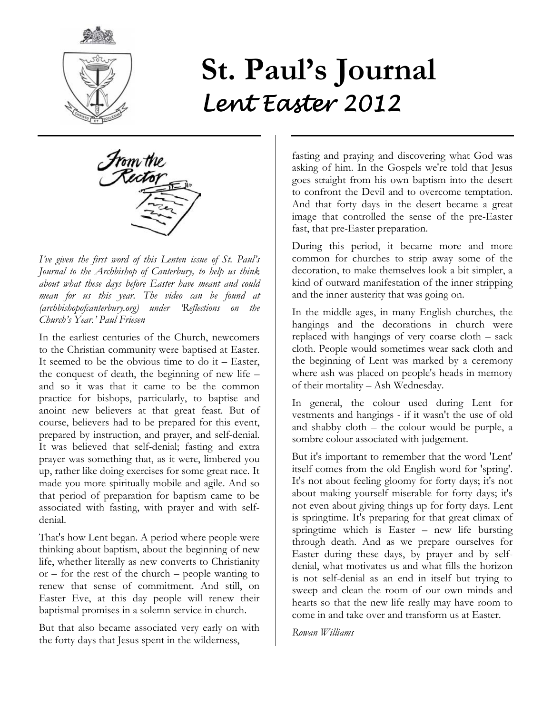

# St. Paul's Journal Lent Easter 2012



I've given the first word of this Lenten issue of St. Paul's Journal to the Archbishop of Canterbury, to help us think about what these days before Easter have meant and could mean for us this year. The video can be found at (archbishopofcanterbury.org) under 'Reflections on the Church's Year.' Paul Friesen

In the earliest centuries of the Church, newcomers to the Christian community were baptised at Easter. It seemed to be the obvious time to do it – Easter, the conquest of death, the beginning of new life – and so it was that it came to be the common practice for bishops, particularly, to baptise and anoint new believers at that great feast. But of course, believers had to be prepared for this event, prepared by instruction, and prayer, and self-denial. It was believed that self-denial; fasting and extra prayer was something that, as it were, limbered you up, rather like doing exercises for some great race. It made you more spiritually mobile and agile. And so that period of preparation for baptism came to be associated with fasting, with prayer and with selfdenial.

That's how Lent began. A period where people were thinking about baptism, about the beginning of new life, whether literally as new converts to Christianity or – for the rest of the church – people wanting to renew that sense of commitment. And still, on Easter Eve, at this day people will renew their baptismal promises in a solemn service in church.

But that also became associated very early on with the forty days that Jesus spent in the wilderness,

fasting and praying and discovering what God was asking of him. In the Gospels we're told that Jesus goes straight from his own baptism into the desert to confront the Devil and to overcome temptation. And that forty days in the desert became a great image that controlled the sense of the pre-Easter fast, that pre-Easter preparation.

During this period, it became more and more common for churches to strip away some of the decoration, to make themselves look a bit simpler, a kind of outward manifestation of the inner stripping and the inner austerity that was going on.

In the middle ages, in many English churches, the hangings and the decorations in church were replaced with hangings of very coarse cloth – sack cloth. People would sometimes wear sack cloth and the beginning of Lent was marked by a ceremony where ash was placed on people's heads in memory of their mortality – Ash Wednesday.

In general, the colour used during Lent for vestments and hangings - if it wasn't the use of old and shabby cloth – the colour would be purple, a sombre colour associated with judgement.

But it's important to remember that the word 'Lent' itself comes from the old English word for 'spring'. It's not about feeling gloomy for forty days; it's not about making yourself miserable for forty days; it's not even about giving things up for forty days. Lent is springtime. It's preparing for that great climax of springtime which is Easter – new life bursting through death. And as we prepare ourselves for Easter during these days, by prayer and by selfdenial, what motivates us and what fills the horizon is not self-denial as an end in itself but trying to sweep and clean the room of our own minds and hearts so that the new life really may have room to come in and take over and transform us at Easter.

Rowan Williams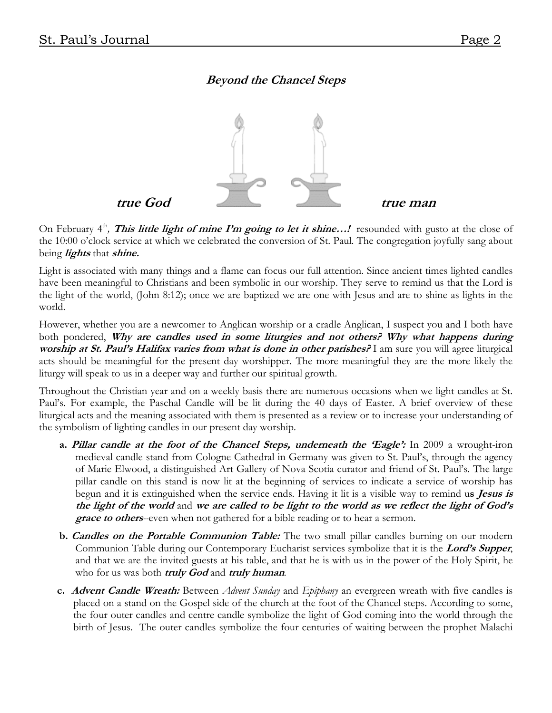#### Beyond the Chancel Steps



On February 4<sup>th</sup>, *This little light of mine I'm going to let it shine...!* resounded with gusto at the close of the 10:00 o'clock service at which we celebrated the conversion of St. Paul. The congregation joyfully sang about being *lights* that *shine*.

Light is associated with many things and a flame can focus our full attention. Since ancient times lighted candles have been meaningful to Christians and been symbolic in our worship. They serve to remind us that the Lord is the light of the world, (John 8:12); once we are baptized we are one with Jesus and are to shine as lights in the world.

However, whether you are a newcomer to Anglican worship or a cradle Anglican, I suspect you and I both have both pondered, Why are candles used in some liturgies and not others? Why what happens during worship at St. Paul's Halifax varies from what is done in other parishes? I am sure you will agree liturgical acts should be meaningful for the present day worshipper. The more meaningful they are the more likely the liturgy will speak to us in a deeper way and further our spiritual growth.

Throughout the Christian year and on a weekly basis there are numerous occasions when we light candles at St. Paul's. For example, the Paschal Candle will be lit during the 40 days of Easter. A brief overview of these liturgical acts and the meaning associated with them is presented as a review or to increase your understanding of the symbolism of lighting candles in our present day worship.

- a. Pillar candle at the foot of the Chancel Steps, underneath the 'Eagle': In 2009 a wrought-iron medieval candle stand from Cologne Cathedral in Germany was given to St. Paul's, through the agency of Marie Elwood, a distinguished Art Gallery of Nova Scotia curator and friend of St. Paul's. The large pillar candle on this stand is now lit at the beginning of services to indicate a service of worship has begun and it is extinguished when the service ends. Having it lit is a visible way to remind us **Jesus is** the light of the world and we are called to be light to the world as we reflect the light of God's **grace to others**-even when not gathered for a bible reading or to hear a sermon.
- **b. Candles on the Portable Communion Table:** The two small pillar candles burning on our modern Communion Table during our Contemporary Eucharist services symbolize that it is the Lord's Supper, and that we are the invited guests at his table, and that he is with us in the power of the Holy Spirit, he who for us was both *truly God* and *truly human*.
- c. Advent Candle Wreath: Between Advent Sunday and Epiphany an evergreen wreath with five candles is placed on a stand on the Gospel side of the church at the foot of the Chancel steps. According to some, the four outer candles and centre candle symbolize the light of God coming into the world through the birth of Jesus. The outer candles symbolize the four centuries of waiting between the prophet Malachi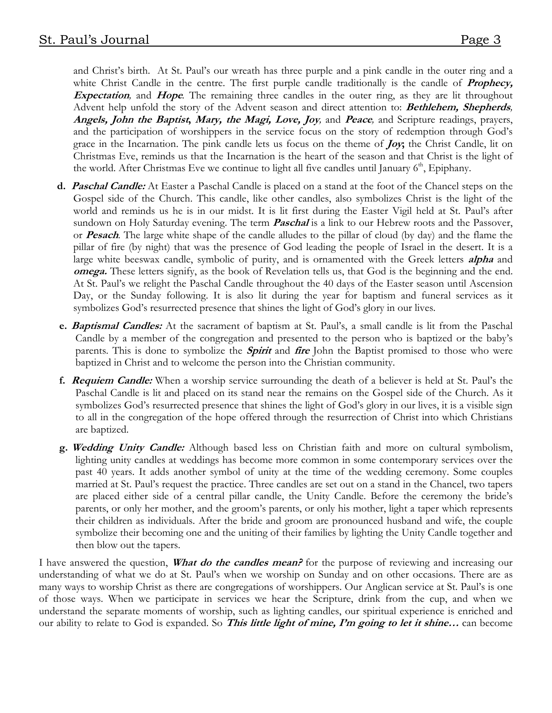and Christ's birth. At St. Paul's our wreath has three purple and a pink candle in the outer ring and a white Christ Candle in the centre. The first purple candle traditionally is the candle of **Prophecy**, **Expectation**, and **Hope**. The remaining three candles in the outer ring, as they are lit throughout Advent help unfold the story of the Advent season and direct attention to: **Bethlehem, Shepherds**, Angels, John the Baptist, Mary, the Magi, Love, Joy, and Peace, and Scripture readings, prayers, and the participation of worshippers in the service focus on the story of redemption through God's grace in the Incarnation. The pink candle lets us focus on the theme of  $Joy$ ; the Christ Candle, lit on Christmas Eve, reminds us that the Incarnation is the heart of the season and that Christ is the light of the world. After Christmas Eve we continue to light all five candles until January  $6<sup>th</sup>$ , Epiphany.

- d. Paschal Candle: At Easter a Paschal Candle is placed on a stand at the foot of the Chancel steps on the Gospel side of the Church. This candle, like other candles, also symbolizes Christ is the light of the world and reminds us he is in our midst. It is lit first during the Easter Vigil held at St. Paul's after sundown on Holy Saturday evening. The term **Paschal** is a link to our Hebrew roots and the Passover, or **Pesach**. The large white shape of the candle alludes to the pillar of cloud (by day) and the flame the pillar of fire (by night) that was the presence of God leading the people of Israel in the desert. It is a large white beeswax candle, symbolic of purity, and is ornamented with the Greek letters **alpha** and **omega.** These letters signify, as the book of Revelation tells us, that God is the beginning and the end. At St. Paul's we relight the Paschal Candle throughout the 40 days of the Easter season until Ascension Day, or the Sunday following. It is also lit during the year for baptism and funeral services as it symbolizes God's resurrected presence that shines the light of God's glory in our lives.
- e. Baptismal Candles: At the sacrament of baptism at St. Paul's, a small candle is lit from the Paschal Candle by a member of the congregation and presented to the person who is baptized or the baby's parents. This is done to symbolize the **Spirit** and **fire** John the Baptist promised to those who were baptized in Christ and to welcome the person into the Christian community.
- f. Requiem Candle: When a worship service surrounding the death of a believer is held at St. Paul's the Paschal Candle is lit and placed on its stand near the remains on the Gospel side of the Church. As it symbolizes God's resurrected presence that shines the light of God's glory in our lives, it is a visible sign to all in the congregation of the hope offered through the resurrection of Christ into which Christians are baptized.
- **g.** Wedding Unity Candle: Although based less on Christian faith and more on cultural symbolism, lighting unity candles at weddings has become more common in some contemporary services over the past 40 years. It adds another symbol of unity at the time of the wedding ceremony. Some couples married at St. Paul's request the practice. Three candles are set out on a stand in the Chancel, two tapers are placed either side of a central pillar candle, the Unity Candle. Before the ceremony the bride's parents, or only her mother, and the groom's parents, or only his mother, light a taper which represents their children as individuals. After the bride and groom are pronounced husband and wife, the couple symbolize their becoming one and the uniting of their families by lighting the Unity Candle together and then blow out the tapers.

I have answered the question, **What do the candles mean?** for the purpose of reviewing and increasing our understanding of what we do at St. Paul's when we worship on Sunday and on other occasions. There are as many ways to worship Christ as there are congregations of worshippers. Our Anglican service at St. Paul's is one of those ways. When we participate in services we hear the Scripture, drink from the cup, and when we understand the separate moments of worship, such as lighting candles, our spiritual experience is enriched and our ability to relate to God is expanded. So This little light of mine, I'm going to let it shine... can become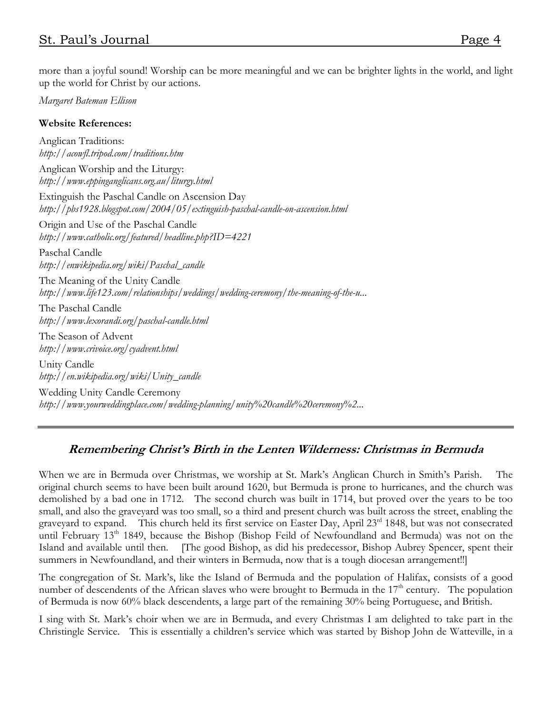more than a joyful sound! Worship can be more meaningful and we can be brighter lights in the world, and light up the world for Christ by our actions.

Margaret Bateman Ellison

#### Website References:

Anglican Traditions: http://acowfl.tripod.com/traditions.htm

Anglican Worship and the Liturgy: http://www.eppinganglicans.org.au/liturgy.html

Extinguish the Paschal Candle on Ascension Day http://pbs1928.blogspot.com/2004/05/extinguish-paschal-candle-on-ascension.html

Origin and Use of the Paschal Candle http://www.catholic.org/featured/headline.php?ID=4221

Paschal Candle http://enwikipedia.org/wiki/Paschal\_candle

The Meaning of the Unity Candle http://www.life123.com/relationships/weddings/wedding-ceremony/the-meaning-of-the-u...

The Paschal Candle http://www.lexorandi.org/paschal-candle.html

The Season of Advent http://www.crivoice.org/cyadvent.html

Unity Candle http://en.wikipedia.org/wiki/Unity\_candle

Wedding Unity Candle Ceremony http://www.yourweddingplace.com/wedding-planning/unity%20candle%20ceremony%2...

# Remembering Christ's Birth in the Lenten Wilderness: Christmas in Bermuda

When we are in Bermuda over Christmas, we worship at St. Mark's Anglican Church in Smith's Parish. The original church seems to have been built around 1620, but Bermuda is prone to hurricanes, and the church was demolished by a bad one in 1712. The second church was built in 1714, but proved over the years to be too small, and also the graveyard was too small, so a third and present church was built across the street, enabling the graveyard to expand. This church held its first service on Easter Day, April 23<sup>rd</sup> 1848, but was not consecrated until February 13<sup>th</sup> 1849, because the Bishop (Bishop Feild of Newfoundland and Bermuda) was not on the Island and available until then. [The good Bishop, as did his predecessor, Bishop Aubrey Spencer, spent their summers in Newfoundland, and their winters in Bermuda, now that is a tough diocesan arrangement!!

The congregation of St. Mark's, like the Island of Bermuda and the population of Halifax, consists of a good number of descendents of the African slaves who were brought to Bermuda in the  $17<sup>th</sup>$  century. The population of Bermuda is now 60% black descendents, a large part of the remaining 30% being Portuguese, and British.

I sing with St. Mark's choir when we are in Bermuda, and every Christmas I am delighted to take part in the Christingle Service. This is essentially a children's service which was started by Bishop John de Watteville, in a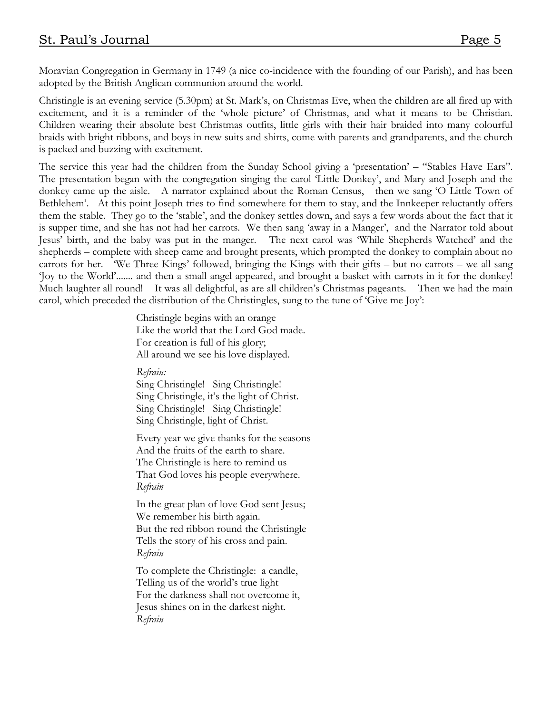Moravian Congregation in Germany in 1749 (a nice co-incidence with the founding of our Parish), and has been adopted by the British Anglican communion around the world.

Christingle is an evening service (5.30pm) at St. Mark's, on Christmas Eve, when the children are all fired up with excitement, and it is a reminder of the 'whole picture' of Christmas, and what it means to be Christian. Children wearing their absolute best Christmas outfits, little girls with their hair braided into many colourful braids with bright ribbons, and boys in new suits and shirts, come with parents and grandparents, and the church is packed and buzzing with excitement.

The service this year had the children from the Sunday School giving a 'presentation' – "Stables Have Ears". The presentation began with the congregation singing the carol 'Little Donkey', and Mary and Joseph and the donkey came up the aisle. A narrator explained about the Roman Census, then we sang 'O Little Town of Bethlehem'. At this point Joseph tries to find somewhere for them to stay, and the Innkeeper reluctantly offers them the stable. They go to the 'stable', and the donkey settles down, and says a few words about the fact that it is supper time, and she has not had her carrots. We then sang 'away in a Manger', and the Narrator told about Jesus' birth, and the baby was put in the manger. The next carol was 'While Shepherds Watched' and the shepherds – complete with sheep came and brought presents, which prompted the donkey to complain about no carrots for her. 'We Three Kings' followed, bringing the Kings with their gifts – but no carrots – we all sang 'Joy to the World'....... and then a small angel appeared, and brought a basket with carrots in it for the donkey! Much laughter all round! It was all delightful, as are all children's Christmas pageants. Then we had the main carol, which preceded the distribution of the Christingles, sung to the tune of 'Give me Joy':

> Christingle begins with an orange Like the world that the Lord God made. For creation is full of his glory; All around we see his love displayed.

Refrain:

Sing Christingle! Sing Christingle! Sing Christingle, it's the light of Christ. Sing Christingle! Sing Christingle! Sing Christingle, light of Christ.

Every year we give thanks for the seasons And the fruits of the earth to share. The Christingle is here to remind us That God loves his people everywhere. Refrain

In the great plan of love God sent Jesus; We remember his birth again. But the red ribbon round the Christingle Tells the story of his cross and pain. Refrain

To complete the Christingle: a candle, Telling us of the world's true light For the darkness shall not overcome it, Jesus shines on in the darkest night. Refrain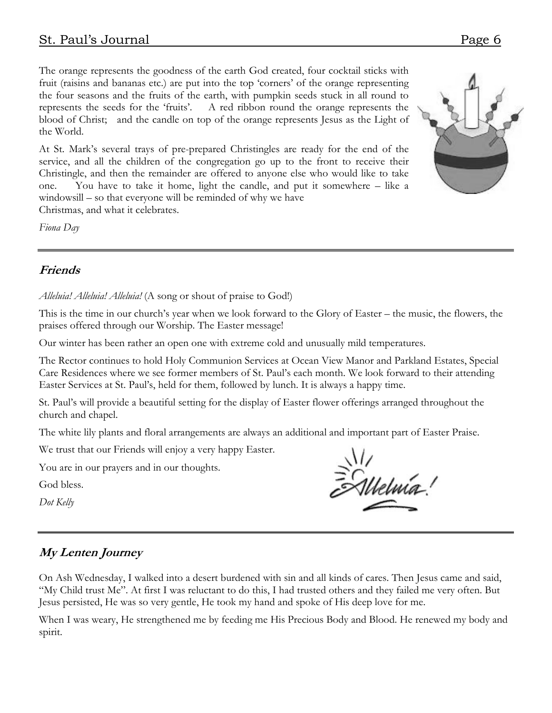The orange represents the goodness of the earth God created, four cocktail sticks with fruit (raisins and bananas etc.) are put into the top 'corners' of the orange representing the four seasons and the fruits of the earth, with pumpkin seeds stuck in all round to represents the seeds for the 'fruits'. A red ribbon round the orange represents the blood of Christ; and the candle on top of the orange represents Jesus as the Light of the World.

At St. Mark's several trays of pre-prepared Christingles are ready for the end of the service, and all the children of the congregation go up to the front to receive their Christingle, and then the remainder are offered to anyone else who would like to take one. You have to take it home, light the candle, and put it somewhere – like a windowsill – so that everyone will be reminded of why we have Christmas, and what it celebrates.

Fiona Day

#### Friends

Alleluia! Alleluia! Alleluia! (A song or shout of praise to God!)

This is the time in our church's year when we look forward to the Glory of Easter – the music, the flowers, the praises offered through our Worship. The Easter message!

Our winter has been rather an open one with extreme cold and unusually mild temperatures.

The Rector continues to hold Holy Communion Services at Ocean View Manor and Parkland Estates, Special Care Residences where we see former members of St. Paul's each month. We look forward to their attending Easter Services at St. Paul's, held for them, followed by lunch. It is always a happy time.

St. Paul's will provide a beautiful setting for the display of Easter flower offerings arranged throughout the church and chapel.

The white lily plants and floral arrangements are always an additional and important part of Easter Praise.

We trust that our Friends will enjoy a very happy Easter.

You are in our prayers and in our thoughts.

God bless.

Dot Kelly

## My Lenten Journey

On Ash Wednesday, I walked into a desert burdened with sin and all kinds of cares. Then Jesus came and said, "My Child trust Me". At first I was reluctant to do this, I had trusted others and they failed me very often. But Jesus persisted, He was so very gentle, He took my hand and spoke of His deep love for me.

When I was weary, He strengthened me by feeding me His Precious Body and Blood. He renewed my body and spirit.

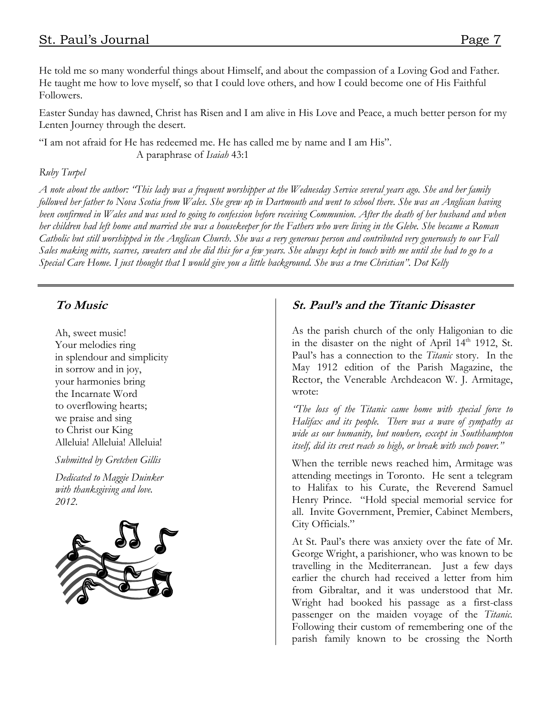He told me so many wonderful things about Himself, and about the compassion of a Loving God and Father. He taught me how to love myself, so that I could love others, and how I could become one of His Faithful Followers.

Easter Sunday has dawned, Christ has Risen and I am alive in His Love and Peace, a much better person for my Lenten Journey through the desert.

"I am not afraid for He has redeemed me. He has called me by name and I am His". A paraphrase of Isaiah 43:1

#### Ruby Turpel

A note about the author: "This lady was a frequent worshipper at the Wednesday Service several years ago. She and her family followed her father to Nova Scotia from Wales. She grew up in Dartmouth and went to school there. She was an Anglican having been confirmed in Wales and was used to going to confession before receiving Communion. After the death of her husband and when her children had left home and married she was a housekeeper for the Fathers who were living in the Glebe. She became a Roman Catholic but still worshipped in the Anglican Church. She was a very generous person and contributed very generously to our Fall Sales making mitts, scarves, sweaters and she did this for a few years. She always kept in touch with me until she had to go to a Special Care Home. I just thought that I would give you a little background. She was a true Christian". Dot Kelly

#### To Music

Ah, sweet music! Your melodies ring in splendour and simplicity in sorrow and in joy, your harmonies bring the Incarnate Word to overflowing hearts; we praise and sing to Christ our King Alleluia! Alleluia! Alleluia!

Submitted by Gretchen Gillis

Dedicated to Maggie Duinker with thanksgiving and love. 2012.



## St. Paul's and the Titanic Disaster

As the parish church of the only Haligonian to die in the disaster on the night of April  $14<sup>th</sup>$  1912, St. Paul's has a connection to the *Titanic* story. In the May 1912 edition of the Parish Magazine, the Rector, the Venerable Archdeacon W. J. Armitage, wrote:

"The loss of the Titanic came home with special force to Halifax and its people. There was a wave of sympathy as wide as our humanity, but nowhere, except in Southhampton itself, did its crest reach so high, or break with such power."

When the terrible news reached him, Armitage was attending meetings in Toronto. He sent a telegram to Halifax to his Curate, the Reverend Samuel Henry Prince. "Hold special memorial service for all. Invite Government, Premier, Cabinet Members, City Officials."

At St. Paul's there was anxiety over the fate of Mr. George Wright, a parishioner, who was known to be travelling in the Mediterranean. Just a few days earlier the church had received a letter from him from Gibraltar, and it was understood that Mr. Wright had booked his passage as a first-class passenger on the maiden voyage of the Titanic. Following their custom of remembering one of the parish family known to be crossing the North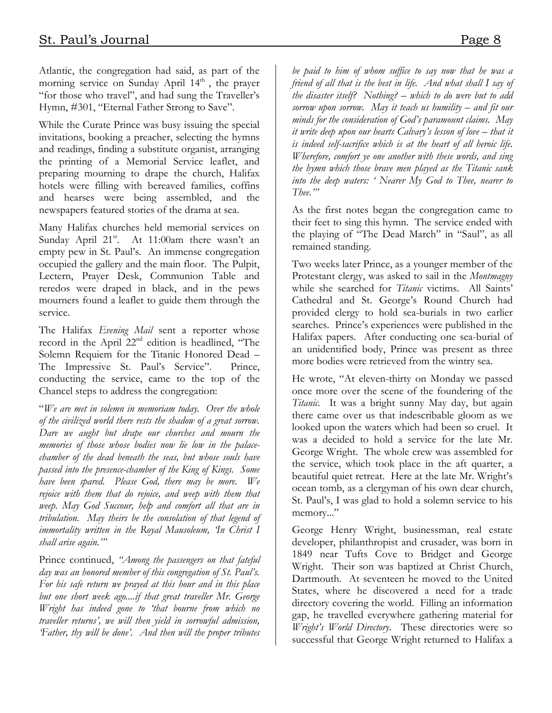Atlantic, the congregation had said, as part of the morning service on Sunday April  $14<sup>th</sup>$ , the prayer "for those who travel", and had sung the Traveller's Hymn, #301, "Eternal Father Strong to Save".

While the Curate Prince was busy issuing the special invitations, booking a preacher, selecting the hymns and readings, finding a substitute organist, arranging the printing of a Memorial Service leaflet, and preparing mourning to drape the church, Halifax hotels were filling with bereaved families, coffins and hearses were being assembled, and the newspapers featured stories of the drama at sea.

Many Halifax churches held memorial services on Sunday April  $21^{st}$ . At 11:00am there wasn't an empty pew in St. Paul's. An immense congregation occupied the gallery and the main floor. The Pulpit, Lectern, Prayer Desk, Communion Table and reredos were draped in black, and in the pews mourners found a leaflet to guide them through the service.

The Halifax *Evening Mail* sent a reporter whose record in the April 22<sup>nd</sup> edition is headlined, "The Solemn Requiem for the Titanic Honored Dead – The Impressive St. Paul's Service". Prince, conducting the service, came to the top of the Chancel steps to address the congregation:

"We are met in solemn in memoriam today. Over the whole of the civilized world there rests the shadow of a great sorrow. Dare we aught but drape our churches and mourn the memories of those whose bodies now lie low in the palacechamber of the dead beneath the seas, but whose souls have passed into the presence-chamber of the King of Kings. Some have been spared. Please God, there may be more. We rejoice with them that do rejoice, and weep with them that weep. May God Succour, help and comfort all that are in tribulation. May theirs be the consolation of that legend of immortality written in the Royal Mausoleum, 'In Christ I shall arise again.'"

Prince continued, "Among the passengers on that fateful day was an honored member of this congregation of St. Paul's. For his safe return we prayed at this hour and in this place but one short week ago....if that great traveller Mr. George Wright has indeed gone to 'that bourne from which no traveller returns', we will then yield in sorrowful admission, 'Father, thy will be done'. And then will the proper tributes

be paid to him of whom suffice to say now that he was a friend of all that is the best in life. And what shall I say of the disaster itself? Nothing? – which to do were but to add sorrow upon sorrow. May it teach us humility – and fit our minds for the consideration of God's paramount claims. May it write deep upon our hearts Calvary's lesson of love – that it is indeed self-sacrifice which is at the heart of all heroic life. Wherefore, comfort ye one another with these words, and sing the hymn which those brave men played as the Titanic sank into the deep waters: ' Nearer My God to Thee, nearer to Thee."

As the first notes began the congregation came to their feet to sing this hymn. The service ended with the playing of "The Dead March" in "Saul", as all remained standing.

Two weeks later Prince, as a younger member of the Protestant clergy, was asked to sail in the Montmagny while she searched for Titanic victims. All Saints' Cathedral and St. George's Round Church had provided clergy to hold sea-burials in two earlier searches. Prince's experiences were published in the Halifax papers. After conducting one sea-burial of an unidentified body, Prince was present as three more bodies were retrieved from the wintry sea.

He wrote, "At eleven-thirty on Monday we passed once more over the scene of the foundering of the Titanic. It was a bright sunny May day, but again there came over us that indescribable gloom as we looked upon the waters which had been so cruel. It was a decided to hold a service for the late Mr. George Wright. The whole crew was assembled for the service, which took place in the aft quarter, a beautiful quiet retreat. Here at the late Mr. Wright's ocean tomb, as a clergyman of his own dear church, St. Paul's, I was glad to hold a solemn service to his memory..."

George Henry Wright, businessman, real estate developer, philanthropist and crusader, was born in 1849 near Tufts Cove to Bridget and George Wright. Their son was baptized at Christ Church, Dartmouth. At seventeen he moved to the United States, where he discovered a need for a trade directory covering the world. Filling an information gap, he travelled everywhere gathering material for Wright's World Directory. These directories were so successful that George Wright returned to Halifax a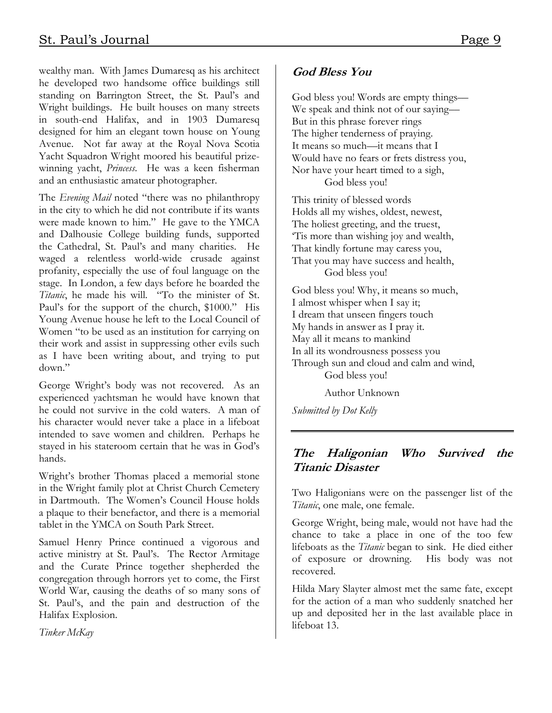wealthy man. With James Dumaresq as his architect he developed two handsome office buildings still standing on Barrington Street, the St. Paul's and Wright buildings. He built houses on many streets in south-end Halifax, and in 1903 Dumaresq designed for him an elegant town house on Young Avenue. Not far away at the Royal Nova Scotia Yacht Squadron Wright moored his beautiful prizewinning yacht, Princess. He was a keen fisherman and an enthusiastic amateur photographer.

The *Evening Mail* noted "there was no philanthropy in the city to which he did not contribute if its wants were made known to him." He gave to the YMCA and Dalhousie College building funds, supported the Cathedral, St. Paul's and many charities. He waged a relentless world-wide crusade against profanity, especially the use of foul language on the stage. In London, a few days before he boarded the Titanic, he made his will. "To the minister of St. Paul's for the support of the church, \$1000." His Young Avenue house he left to the Local Council of Women "to be used as an institution for carrying on their work and assist in suppressing other evils such as I have been writing about, and trying to put down."

George Wright's body was not recovered. As an experienced yachtsman he would have known that he could not survive in the cold waters. A man of his character would never take a place in a lifeboat intended to save women and children. Perhaps he stayed in his stateroom certain that he was in God's hands.

Wright's brother Thomas placed a memorial stone in the Wright family plot at Christ Church Cemetery in Dartmouth. The Women's Council House holds a plaque to their benefactor, and there is a memorial tablet in the YMCA on South Park Street.

Samuel Henry Prince continued a vigorous and active ministry at St. Paul's. The Rector Armitage and the Curate Prince together shepherded the congregation through horrors yet to come, the First World War, causing the deaths of so many sons of St. Paul's, and the pain and destruction of the Halifax Explosion.

Tinker McKay

#### God Bless You

God bless you! Words are empty things— We speak and think not of our saying-But in this phrase forever rings The higher tenderness of praying. It means so much––it means that I Would have no fears or frets distress you, Nor have your heart timed to a sigh, God bless you!

This trinity of blessed words Holds all my wishes, oldest, newest, The holiest greeting, and the truest, 'Tis more than wishing joy and wealth, That kindly fortune may caress you, That you may have success and health, God bless you!

God bless you! Why, it means so much, I almost whisper when I say it; I dream that unseen fingers touch My hands in answer as I pray it. May all it means to mankind In all its wondrousness possess you Through sun and cloud and calm and wind, God bless you!

Author Unknown

Submitted by Dot Kelly

#### The Haligonian Who Survived the Titanic Disaster

Two Haligonians were on the passenger list of the Titanic, one male, one female.

George Wright, being male, would not have had the chance to take a place in one of the too few lifeboats as the Titanic began to sink. He died either of exposure or drowning. His body was not recovered.

Hilda Mary Slayter almost met the same fate, except for the action of a man who suddenly snatched her up and deposited her in the last available place in lifeboat 13.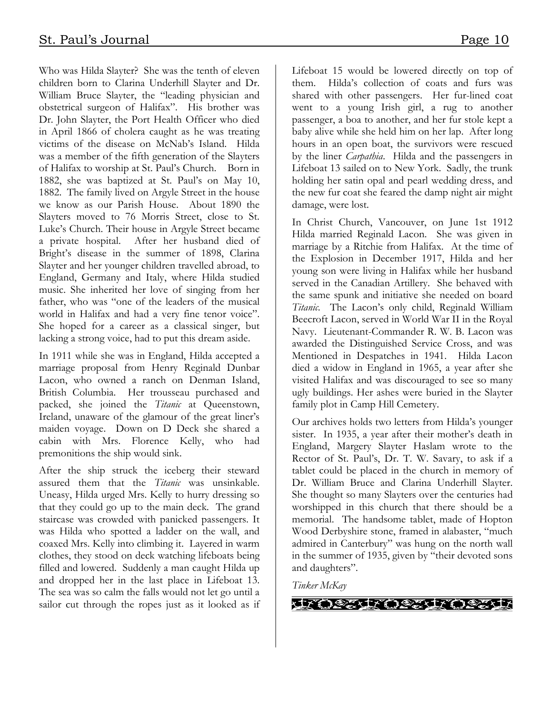Who was Hilda Slayter? She was the tenth of eleven children born to Clarina Underhill Slayter and Dr. William Bruce Slayter, the "leading physician and obstetrical surgeon of Halifax". His brother was Dr. John Slayter, the Port Health Officer who died in April 1866 of cholera caught as he was treating victims of the disease on McNab's Island. Hilda was a member of the fifth generation of the Slayters of Halifax to worship at St. Paul's Church. Born in 1882, she was baptized at St. Paul's on May 10, 1882. The family lived on Argyle Street in the house we know as our Parish House. About 1890 the Slayters moved to 76 Morris Street, close to St. Luke's Church. Their house in Argyle Street became a private hospital. After her husband died of Bright's disease in the summer of 1898, Clarina Slayter and her younger children travelled abroad, to England, Germany and Italy, where Hilda studied music. She inherited her love of singing from her father, who was "one of the leaders of the musical world in Halifax and had a very fine tenor voice". She hoped for a career as a classical singer, but lacking a strong voice, had to put this dream aside.

In 1911 while she was in England, Hilda accepted a marriage proposal from Henry Reginald Dunbar Lacon, who owned a ranch on Denman Island, British Columbia. Her trousseau purchased and packed, she joined the Titanic at Queenstown, Ireland, unaware of the glamour of the great liner's maiden voyage. Down on D Deck she shared a cabin with Mrs. Florence Kelly, who had premonitions the ship would sink.

After the ship struck the iceberg their steward assured them that the Titanic was unsinkable. Uneasy, Hilda urged Mrs. Kelly to hurry dressing so that they could go up to the main deck. The grand staircase was crowded with panicked passengers. It was Hilda who spotted a ladder on the wall, and coaxed Mrs. Kelly into climbing it. Layered in warm clothes, they stood on deck watching lifeboats being filled and lowered. Suddenly a man caught Hilda up and dropped her in the last place in Lifeboat 13. The sea was so calm the falls would not let go until a sailor cut through the ropes just as it looked as if Lifeboat 15 would be lowered directly on top of them. Hilda's collection of coats and furs was shared with other passengers. Her fur-lined coat went to a young Irish girl, a rug to another passenger, a boa to another, and her fur stole kept a baby alive while she held him on her lap. After long hours in an open boat, the survivors were rescued by the liner *Carpathia*. Hilda and the passengers in Lifeboat 13 sailed on to New York. Sadly, the trunk holding her satin opal and pearl wedding dress, and the new fur coat she feared the damp night air might damage, were lost.

In Christ Church, Vancouver, on June 1st 1912 Hilda married Reginald Lacon. She was given in marriage by a Ritchie from Halifax. At the time of the Explosion in December 1917, Hilda and her young son were living in Halifax while her husband served in the Canadian Artillery. She behaved with the same spunk and initiative she needed on board Titanic. The Lacon's only child, Reginald William Beecroft Lacon, served in World War II in the Royal Navy. Lieutenant-Commander R. W. B. Lacon was awarded the Distinguished Service Cross, and was Mentioned in Despatches in 1941. Hilda Lacon died a widow in England in 1965, a year after she visited Halifax and was discouraged to see so many ugly buildings. Her ashes were buried in the Slayter family plot in Camp Hill Cemetery.

Our archives holds two letters from Hilda's younger sister. In 1935, a year after their mother's death in England, Margery Slayter Haslam wrote to the Rector of St. Paul's, Dr. T. W. Savary, to ask if a tablet could be placed in the church in memory of Dr. William Bruce and Clarina Underhill Slayter. She thought so many Slayters over the centuries had worshipped in this church that there should be a memorial. The handsome tablet, made of Hopton Wood Derbyshire stone, framed in alabaster, "much admired in Canterbury" was hung on the north wall in the summer of 1935, given by "their devoted sons and daughters".

Tinker McKay

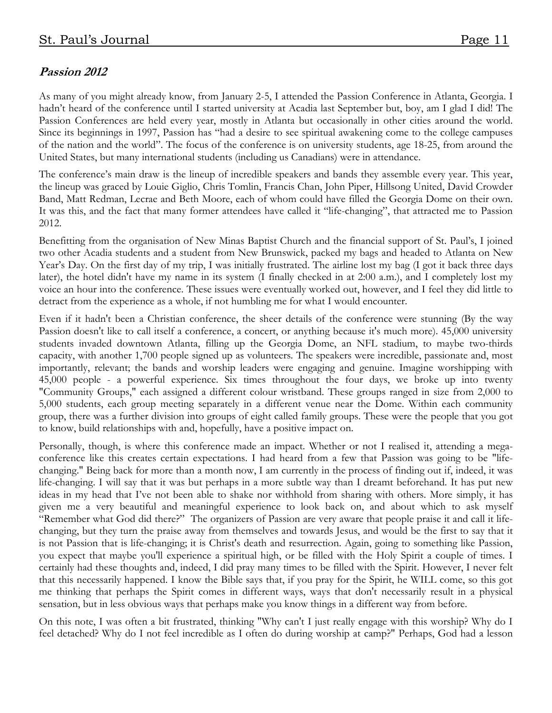# Passion 2012

As many of you might already know, from January 2-5, I attended the Passion Conference in Atlanta, Georgia. I hadn't heard of the conference until I started university at Acadia last September but, boy, am I glad I did! The Passion Conferences are held every year, mostly in Atlanta but occasionally in other cities around the world. Since its beginnings in 1997, Passion has "had a desire to see spiritual awakening come to the college campuses of the nation and the world". The focus of the conference is on university students, age 18-25, from around the United States, but many international students (including us Canadians) were in attendance.

The conference's main draw is the lineup of incredible speakers and bands they assemble every year. This year, the lineup was graced by Louie Giglio, Chris Tomlin, Francis Chan, John Piper, Hillsong United, David Crowder Band, Matt Redman, Lecrae and Beth Moore, each of whom could have filled the Georgia Dome on their own. It was this, and the fact that many former attendees have called it "life-changing", that attracted me to Passion 2012.

Benefitting from the organisation of New Minas Baptist Church and the financial support of St. Paul's, I joined two other Acadia students and a student from New Brunswick, packed my bags and headed to Atlanta on New Year's Day. On the first day of my trip, I was initially frustrated. The airline lost my bag (I got it back three days later), the hotel didn't have my name in its system (I finally checked in at 2:00 a.m.), and I completely lost my voice an hour into the conference. These issues were eventually worked out, however, and I feel they did little to detract from the experience as a whole, if not humbling me for what I would encounter.

Even if it hadn't been a Christian conference, the sheer details of the conference were stunning (By the way Passion doesn't like to call itself a conference, a concert, or anything because it's much more). 45,000 university students invaded downtown Atlanta, filling up the Georgia Dome, an NFL stadium, to maybe two-thirds capacity, with another 1,700 people signed up as volunteers. The speakers were incredible, passionate and, most importantly, relevant; the bands and worship leaders were engaging and genuine. Imagine worshipping with 45,000 people - a powerful experience. Six times throughout the four days, we broke up into twenty "Community Groups," each assigned a different colour wristband. These groups ranged in size from 2,000 to 5,000 students, each group meeting separately in a different venue near the Dome. Within each community group, there was a further division into groups of eight called family groups. These were the people that you got to know, build relationships with and, hopefully, have a positive impact on.

Personally, though, is where this conference made an impact. Whether or not I realised it, attending a megaconference like this creates certain expectations. I had heard from a few that Passion was going to be "lifechanging." Being back for more than a month now, I am currently in the process of finding out if, indeed, it was life-changing. I will say that it was but perhaps in a more subtle way than I dreamt beforehand. It has put new ideas in my head that I've not been able to shake nor withhold from sharing with others. More simply, it has given me a very beautiful and meaningful experience to look back on, and about which to ask myself "Remember what God did there?" The organizers of Passion are very aware that people praise it and call it lifechanging, but they turn the praise away from themselves and towards Jesus, and would be the first to say that it is not Passion that is life-changing; it is Christ's death and resurrection. Again, going to something like Passion, you expect that maybe you'll experience a spiritual high, or be filled with the Holy Spirit a couple of times. I certainly had these thoughts and, indeed, I did pray many times to be filled with the Spirit. However, I never felt that this necessarily happened. I know the Bible says that, if you pray for the Spirit, he WILL come, so this got me thinking that perhaps the Spirit comes in different ways, ways that don't necessarily result in a physical sensation, but in less obvious ways that perhaps make you know things in a different way from before.

On this note, I was often a bit frustrated, thinking "Why can't I just really engage with this worship? Why do I feel detached? Why do I not feel incredible as I often do during worship at camp?" Perhaps, God had a lesson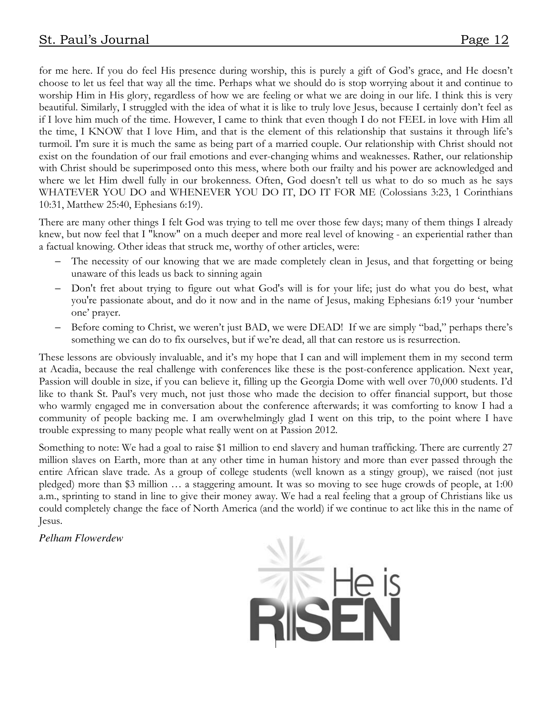for me here. If you do feel His presence during worship, this is purely a gift of God's grace, and He doesn't choose to let us feel that way all the time. Perhaps what we should do is stop worrying about it and continue to worship Him in His glory, regardless of how we are feeling or what we are doing in our life. I think this is very beautiful. Similarly, I struggled with the idea of what it is like to truly love Jesus, because I certainly don't feel as if I love him much of the time. However, I came to think that even though I do not FEEL in love with Him all the time, I KNOW that I love Him, and that is the element of this relationship that sustains it through life's turmoil. I'm sure it is much the same as being part of a married couple. Our relationship with Christ should not exist on the foundation of our frail emotions and ever-changing whims and weaknesses. Rather, our relationship with Christ should be superimposed onto this mess, where both our frailty and his power are acknowledged and where we let Him dwell fully in our brokenness. Often, God doesn't tell us what to do so much as he says WHATEVER YOU DO and WHENEVER YOU DO IT, DO IT FOR ME (Colossians 3:23, 1 Corinthians 10:31, Matthew 25:40, Ephesians 6:19).

There are many other things I felt God was trying to tell me over those few days; many of them things I already knew, but now feel that I "know" on a much deeper and more real level of knowing - an experiential rather than a factual knowing. Other ideas that struck me, worthy of other articles, were:

- The necessity of our knowing that we are made completely clean in Jesus, and that forgetting or being unaware of this leads us back to sinning again
- Don't fret about trying to figure out what God's will is for your life; just do what you do best, what you're passionate about, and do it now and in the name of Jesus, making Ephesians 6:19 your 'number one' prayer.
- Before coming to Christ, we weren't just BAD, we were DEAD! If we are simply "bad," perhaps there's something we can do to fix ourselves, but if we're dead, all that can restore us is resurrection.

These lessons are obviously invaluable, and it's my hope that I can and will implement them in my second term at Acadia, because the real challenge with conferences like these is the post-conference application. Next year, Passion will double in size, if you can believe it, filling up the Georgia Dome with well over 70,000 students. I'd like to thank St. Paul's very much, not just those who made the decision to offer financial support, but those who warmly engaged me in conversation about the conference afterwards; it was comforting to know I had a community of people backing me. I am overwhelmingly glad I went on this trip, to the point where I have trouble expressing to many people what really went on at Passion 2012.

Something to note: We had a goal to raise \$1 million to end slavery and human trafficking. There are currently 27 million slaves on Earth, more than at any other time in human history and more than ever passed through the entire African slave trade. As a group of college students (well known as a stingy group), we raised (not just pledged) more than \$3 million … a staggering amount. It was so moving to see huge crowds of people, at 1:00 a.m., sprinting to stand in line to give their money away. We had a real feeling that a group of Christians like us could completely change the face of North America (and the world) if we continue to act like this in the name of Jesus.

*Pelham Flowerdew* 

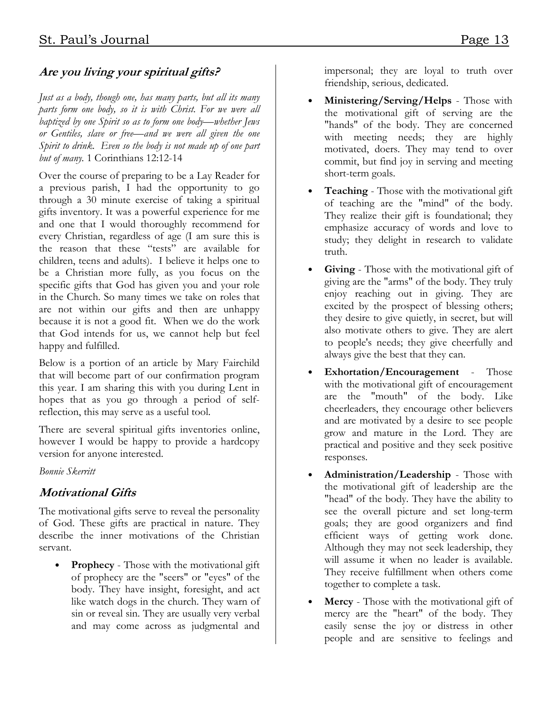# Are you living your spiritual gifts?

Just as a body, though one, has many parts, but all its many parts form one body, so it is with Christ. For we were all baptized by one Spirit so as to form one body—whether Jews or Gentiles, slave or free—and we were all given the one Spirit to drink. Even so the body is not made up of one part but of many. 1 Corinthians 12:12-14

Over the course of preparing to be a Lay Reader for a previous parish, I had the opportunity to go through a 30 minute exercise of taking a spiritual gifts inventory. It was a powerful experience for me and one that I would thoroughly recommend for every Christian, regardless of age (I am sure this is the reason that these "tests" are available for children, teens and adults). I believe it helps one to be a Christian more fully, as you focus on the specific gifts that God has given you and your role in the Church. So many times we take on roles that are not within our gifts and then are unhappy because it is not a good fit. When we do the work that God intends for us, we cannot help but feel happy and fulfilled.

Below is a portion of an article by Mary Fairchild that will become part of our confirmation program this year. I am sharing this with you during Lent in hopes that as you go through a period of selfreflection, this may serve as a useful tool.

There are several spiritual gifts inventories online, however I would be happy to provide a hardcopy version for anyone interested.

Bonnie Skerritt

## Motivational Gifts

The motivational gifts serve to reveal the personality of God. These gifts are practical in nature. They describe the inner motivations of the Christian servant.

• Prophecy - Those with the motivational gift of prophecy are the "seers" or "eyes" of the body. They have insight, foresight, and act like watch dogs in the church. They warn of sin or reveal sin. They are usually very verbal and may come across as judgmental and impersonal; they are loyal to truth over friendship, serious, dedicated.

- Ministering/Serving/Helps Those with the motivational gift of serving are the "hands" of the body. They are concerned with meeting needs; they are highly motivated, doers. They may tend to over commit, but find joy in serving and meeting short-term goals.
- Teaching Those with the motivational gift of teaching are the "mind" of the body. They realize their gift is foundational; they emphasize accuracy of words and love to study; they delight in research to validate truth.
- Giving Those with the motivational gift of giving are the "arms" of the body. They truly enjoy reaching out in giving. They are excited by the prospect of blessing others; they desire to give quietly, in secret, but will also motivate others to give. They are alert to people's needs; they give cheerfully and always give the best that they can.
- **Exhortation/Encouragement** Those with the motivational gift of encouragement are the "mouth" of the body. Like cheerleaders, they encourage other believers and are motivated by a desire to see people grow and mature in the Lord. They are practical and positive and they seek positive responses.
- Administration/Leadership Those with the motivational gift of leadership are the "head" of the body. They have the ability to see the overall picture and set long-term goals; they are good organizers and find efficient ways of getting work done. Although they may not seek leadership, they will assume it when no leader is available. They receive fulfillment when others come together to complete a task.
- Mercy Those with the motivational gift of mercy are the "heart" of the body. They easily sense the joy or distress in other people and are sensitive to feelings and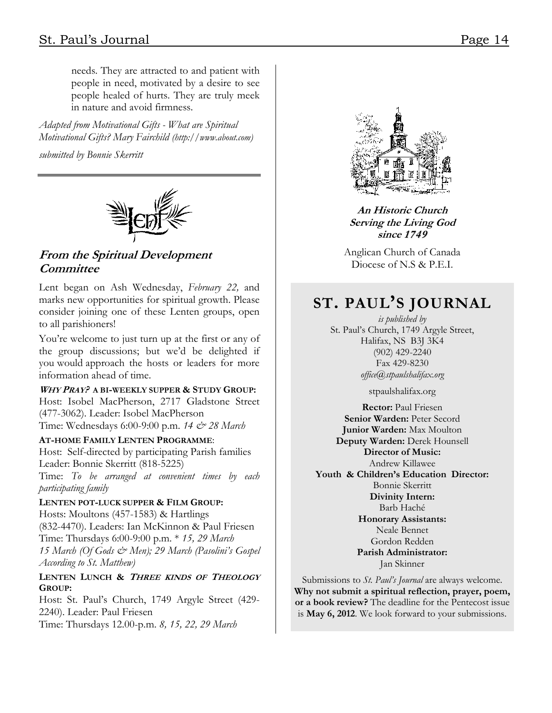needs. They are attracted to and patient with people in need, motivated by a desire to see people healed of hurts. They are truly meek in nature and avoid firmness.

Adapted from Motivational Gifts - What are Spiritual Motivational Gifts? Mary Fairchild (http://www.about.com)

submitted by Bonnie Skerritt



#### From the Spiritual Development **Committee**

Lent began on Ash Wednesday, February 22, and marks new opportunities for spiritual growth. Please consider joining one of these Lenten groups, open to all parishioners!

You're welcome to just turn up at the first or any of the group discussions; but we'd be delighted if you would approach the hosts or leaders for more information ahead of time.

WHY PRAY? A BI-WEEKLY SUPPER & STUDY GROUP:

Host: Isobel MacPherson, 2717 Gladstone Street (477-3062). Leader: Isobel MacPherson

Time: Wednesdays 6:00-9:00 p.m. 14 & 28 March

#### AT-HOME FAMILY LENTEN PROGRAMME:

Host: Self-directed by participating Parish families Leader: Bonnie Skerritt (818-5225)

Time: To be arranged at convenient times by each participating family

#### LENTEN POT-LUCK SUPPER & FILM GROUP:

Hosts: Moultons (457-1583) & Hartlings (832-4470). Leaders: Ian McKinnon & Paul Friesen Time: Thursdays 6:00-9:00 p.m. \* 15, 29 March 15 March (Of Gods & Men); 29 March (Pasolini's Gospel According to St. Matthew)

#### LENTEN LUNCH & THREE KINDS OF THEOLOGY GROUP:

Host: St. Paul's Church, 1749 Argyle Street (429- 2240). Leader: Paul Friesen Time: Thursdays 12.00-p.m. 8, 15, 22, 29 March



An Historic Church Serving the Living God since 1749

Anglican Church of Canada Diocese of N.S & P.E.I.

# ST. PAUL'S JOURNAL

is published by St. Paul's Church, 1749 Argyle Street, Halifax, NS B3J 3K4 (902) 429-2240 Fax 429-8230 office@stpaulshalifax.org

stpaulshalifax.org

Rector: Paul Friesen Senior Warden: Peter Secord Junior Warden: Max Moulton Deputy Warden: Derek Hounsell Director of Music: Andrew Killawee Youth & Children's Education Director: Bonnie Skerritt Divinity Intern: Barb Haché Honorary Assistants: Neale Bennet Gordon Redden Parish Administrator: Jan Skinner

Submissions to St. Paul's Journal are always welcome. Why not submit a spiritual reflection, prayer, poem, or a book review? The deadline for the Pentecost issue is May 6, 2012. We look forward to your submissions.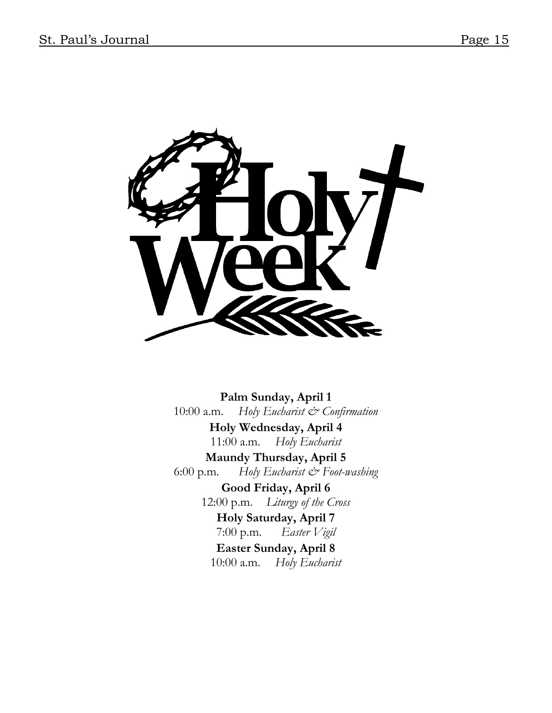

**Palm Sunday, April 1**<br>10:00 a.m. *Holy Eucharist & Co* Holy Eucharist & Confirmation Holy Wednesday, April 4 11:00 a.m. Holy Eucharist Maundy Thursday, April 5 6:00 p.m. Holy Eucharist & Foot-washing Good Friday, April 6 12:00 p.m. Liturgy of the Cross Holy Saturday, April 7 7:00 p.m. Easter Vigil Easter Sunday, April 8 10:00 a.m. Holy Eucharist